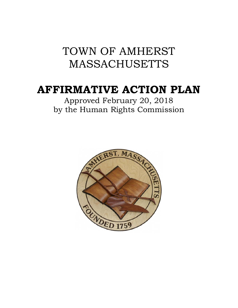# TOWN OF AMHERST MASSACHUSETTS

# **AFFIRMATIVE ACTION PLAN**

Approved February 20, 2018 by the Human Rights Commission

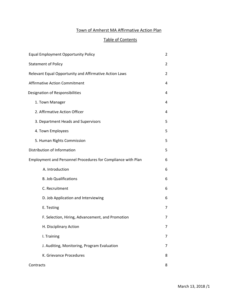# Town of Amherst MA Affirmative Action Plan

# Table of Contents

| <b>Equal Employment Opportunity Policy</b>                   | 2 |
|--------------------------------------------------------------|---|
| <b>Statement of Policy</b>                                   | 2 |
| Relevant Equal Opportunity and Affirmative Action Laws       | 2 |
| <b>Affirmative Action Commitment</b>                         | 4 |
| Designation of Responsibilities                              | 4 |
| 1. Town Manager                                              | 4 |
| 2. Affirmative Action Officer                                | 4 |
| 3. Department Heads and Supervisors                          | 5 |
| 4. Town Employees                                            | 5 |
| 5. Human Rights Commission                                   | 5 |
| Distribution of Information                                  | 5 |
| Employment and Personnel Procedures for Compliance with Plan | 6 |
| A. Introduction                                              | 6 |
| <b>B. Job Qualifications</b>                                 | 6 |
| C. Recruitment                                               | 6 |
| D. Job Application and Interviewing                          | 6 |
| E. Testing                                                   | 7 |
| F. Selection, Hiring, Advancement, and Promotion             | 7 |
| H. Disciplinary Action                                       | 7 |
| I. Training                                                  | 7 |
| J. Auditing, Monitoring, Program Evaluation                  | 7 |
| K. Grievance Procedures                                      | 8 |
| Contracts                                                    | 8 |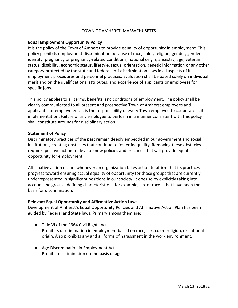## TOWN OF AMHERST, MASSACHUSETTS

## **Equal Employment Opportunity Policy**

It is the policy of the Town of Amherst to provide equality of opportunity in employment. This policy prohibits employment discrimination because of race, color, religion, gender, gender identity, pregnancy or pregnancy‐related conditions, national origin, ancestry, age, veteran status, disability, economic status, lifestyle, sexual orientation, genetic information or any other category protected by the state and federal anti‐discrimination laws in all aspects of its employment procedures and personnel practices. Evaluation shall be based solely on individual merit and on the qualifications, attributes, and experience of applicants or employees for specific jobs.

This policy applies to all terms, benefits, and conditions of employment. The policy shall be clearly communicated to all present and prospective Town of Amherst employees and applicants for employment. It is the responsibility of every Town employee to cooperate in its implementation**.** Failure of any employee to perform in a manner consistent with this policy shall constitute grounds for disciplinary action.

## **Statement of Policy**

Discriminatory practices of the past remain deeply embedded in our government and social institutions, creating obstacles that continue to foster inequality. Removing these obstacles requires positive action to develop new policies and practices that will provide equal opportunity for employment.

Affirmative action occurs whenever an organization takes action to affirm that its practices progress toward ensuring actual equality of opportunity for those groups that are currently underrepresented in significant positions in our society. It does so by explicitly taking into account the groups' defining characteristics—for example, sex or race—that have been the basis for discrimination.

## **Relevant Equal Opportunity and Affirmative Action Laws**

Development of Amherst's Equal Opportunity Policies and Affirmative Action Plan has been guided by Federal and State laws. Primary among them are:

- Title VI of the 1964 Civil Rights Act Prohibits discrimination in employment based on race, sex, color, religion, or national origin. Also prohibits any and all forms of harassment in the work environment.
- Age Discrimination in Employment Act Prohibit discrimination on the basis of age.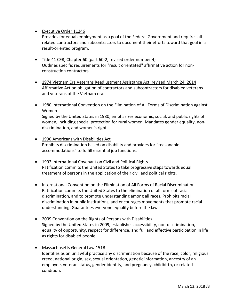# • Executive Order 11246

Provides for equal employment as a goal of the Federal Government and requires all related contractors and subcontractors to document their efforts toward that goal in a result‐oriented program.

- Title 41 CFR, Chapter 60 (part 60‐2, revised order number 4) Outlines specific requirements for "result orientated" affirmative action for non‐ construction contractors.
- 1974 Vietnam Era Veterans Readjustment Assistance Act, revised March 24, 2014 Affirmative Action obligation of contractors and subcontractors for disabled veterans and veterans of the Vietnam era.
- 1980 International Convention on the Elimination of All Forms of Discrimination against Women

Signed by the United States in 1980, emphasizes economic, social, and public rights of women, including special protection for rural women. Mandates gender equality, nondiscrimination, and women's rights.

- 1990 Americans with Disabilities Act Prohibits discrimination based on disability and provides for "reasonable accommodations" to fulfill essential job functions.
- 1992 International Covenant on Civil and Political Rights Ratification commits the United States to take progressive steps towards equal treatment of persons in the application of their civil and political rights.
- International Convention on the Elimination of All Forms of Racial Discrimination Ratification commits the United States to the elimination of all forms of racial discrimination, and to promote understanding among all races. Prohibits racial discrimination in public institutions, and encourages movements that promote racial understanding. Guarantees everyone equality before the law.
- 2009 Convention on the Rights of Persons with Disabilities Signed by the United States in 2009, establishes accessibility, non‐discrimination, equality of opportunity, respect for difference, and full and effective participation in life as rights for disabled people.
- Massachusetts General Law 151B Identifies as an unlawful practice any discrimination because of the race, color, religious creed, national origin, sex, sexual orientation, genetic information, ancestry of an employee, veteran status, gender identity, and pregnancy, childbirth, or related condition.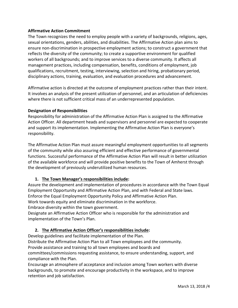## **Affirmative Action Commitment**

The Town recognizes the need to employ people with a variety of backgrounds, religions, ages, sexual orientations, genders, abilities, and disabilities. The Affirmative Action plan aims to ensure non‐discrimination in prospective employment actions; to construct a government that reflects the diversity of the community; to create a supportive environment for qualified workers of all backgrounds; and to improve services to a diverse community. It affects all management practices, including compensation, benefits, conditions of employment, job qualifications, recruitment, testing, interviewing, selection and hiring, probationary period, disciplinary actions, training, evaluation, and evaluation procedures and advancement.

Affirmative action is directed at the outcome of employment practices rather than their intent. It involves an analysis of the present utilization of personnel, and an articulation of deficiencies where there is not sufficient critical mass of an underrepresented population.

## **Designation of Responsibilities**

Responsibility for administration of the Affirmative Action Plan is assigned to the Affirmative Action Officer. All department heads and supervisors and personnel are expected to cooperate and support its implementation. Implementing the Affirmative Action Plan is everyone's responsibility.

The Affirmative Action Plan must assure meaningful employment opportunities to all segments of the community while also assuring efficient and effective performance of governmental functions. Successful performance of the Affirmative Action Plan will result in better utilization of the available workforce and will provide positive benefits to the Town of Amherst through the development of previously underutilized human resources.

# **1. The Town Manager's responsibilities include:**

Assure the development and implementation of procedures in accordance with the Town Equal Employment Opportunity and Affirmative Action Plan, and with Federal and State laws. Enforce the Equal Employment Opportunity Policy and Affirmative Action Plan. Work towards equity and eliminate discrimination in the workforce.

Embrace diversity within the town government.

Designate an Affirmative Action Officer who is responsible for the administration and implementation of the Town's Plan.

# **2. The Affirmative Action Officer's responsibilities include:**

Develop guidelines and facilitate implementation of the Plan.

Distribute the Affirmative Action Plan to all Town employees and the community.

Provide assistance and training to all town employees and boards and

committees/commissions requesting assistance, to ensure understanding, support, and compliance with the Plan.

Encourage an atmosphere of acceptance and inclusion among Town workers with diverse backgrounds, to promote and encourage productivity in the workspace, and to improve retention and job satisfaction.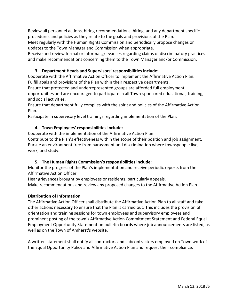Review all personnel actions, hiring recommendations, hiring, and any department specific procedures and policies as they relate to the goals and provisions of the Plan.

Meet regularly with the Human Rights Commission and periodically propose changes or updates to the Town Manager and Commission when appropriate.

Receive and review formal or informal grievances regarding claims of discriminatory practices and make recommendations concerning them to the Town Manager and/or Commission.

# **3. Department Heads and Supervisors' responsibilities include:**

Cooperate with the Affirmative Action Officer to implement the Affirmative Action Plan. Fulfill goals and provisions of the Plan within their respective departments.

Ensure that protected and underrepresented groups are afforded full employment opportunities and are encouraged to participate in all Town‐sponsored educational, training, and social activities.

Ensure that department fully complies with the spirit and policies of the Affirmative Action Plan.

Participate in supervisory level trainings regarding implementation of the Plan.

# **4. Town Employees' responsibilities include:**

Cooperate with the implementation of the Affirmative Action Plan.

Contribute to the Plan's effectiveness within the scope of their position and job assignment. Pursue an environment free from harassment and discrimination where townspeople live, work, and study.

# **5. The Human Rights Commission's responsibilities include:**

Monitor the progress of the Plan's implementation and receive periodic reports from the Affirmative Action Officer.

Hear grievances brought by employees or residents, particularly appeals.

Make recommendations and review any proposed changes to the Affirmative Action Plan.

# **Distribution of Information**

The Affirmative Action Officer shall distribute the Affirmative Action Plan to all staff and take other actions necessary to ensure that the Plan is carried out. This includes the provision of orientation and training sessions for town employees and supervisory employees and prominent posting of the town's Affirmative Action Commitment Statement and Federal Equal Employment Opportunity Statement on bulletin boards where job announcements are listed, as well as on the Town of Amherst's website.

A written statement shall notify all contractors and subcontractors employed on Town work of the Equal Opportunity Policy and Affirmative Action Plan and request their compliance.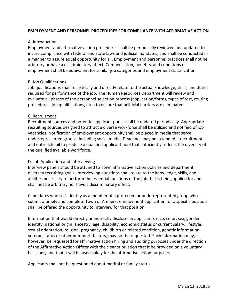## **EMPLOYMENT AND PERSONNEL PROCEDURES FOR COMPLIANCE WITH AFFIRMATIVE ACTION**

## A. Introduction

Employment and affirmative action procedures shall be periodically reviewed and updated to insure compliance with federal and state laws and judicial mandates, and shall be conducted in a manner to assure equal opportunity for all. Employment and personnel practices shall not be arbitrary or have a discriminatory effect. Compensation, benefits, and conditions of employment shall be equivalent for similar job categories and employment classification.

## B. Job Qualifications

Job qualifications shall realistically and directly relate to the actual knowledge, skills, and duties required for performance of the job. The Human Resources Department will review and evaluate all phases of the personnel selection process (application/forms, types of test, routing procedures, job qualifications, etc.) to ensure that artificial barriers are eliminated.

## C. Recruitment

Recruitment sources and potential applicant pools shall be updated periodically. Appropriate recruiting sources designed to attract a diverse workforce shall be utilized and notified of job vacancies. Notification of employment opportunity shall be placed in media that serve underrepresented groups, including social media. Deadlines may be extended if recruitment and outreach fail to produce a qualified applicant pool that sufficiently reflects the diversity of the qualified available workforce.

# D. Job Application and Interviewing

Interview panels should be attuned to Town affirmative action policies and department diversity recruiting goals. Interviewing questions shall relate to the knowledge, skills, and abilities necessary to perform the essential functions of the job that is being applied for and shall not be arbitrary nor have a discriminatory effect.

Candidates who self‐identify as a member of a protected or underrepresented group who submit a timely and complete Town of Amherst employment application for a specific position shall be offered the opportunity to interview for that position.

Information that would directly or indirectly disclose an applicant's race, color, sex, gender identity, national origin, ancestry, age, disability, economic status or current salary, lifestyle, sexual orientation, religion, pregnancy, childbirth or related condition, genetic information, veteran status or other non‐merit factors, may not be requested. Such information may, however, be requested for affirmative action hiring and auditing purposes under the direction of the Affirmative Action Officer with the clear stipulation that it be provided on a voluntary basis only and that it will be used solely for the affirmative action purposes.

Applicants shall not be questioned about marital or family status.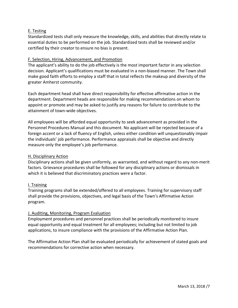# E. Testing

Standardized tests shall only measure the knowledge, skills, and abilities that directly relate to essential duties to be performed on the job. Standardized tests shall be reviewed and/or certified by their creator to ensure no bias is present.

## F. Selection, Hiring, Advancement, and Promotion

The applicant's ability to do the job effectively is the most important factor in any selection decision. Applicant's qualifications must be evaluated in a non‐biased manner. The Town shall make good faith efforts to employ a staff that in total reflects the makeup and diversity of the greater Amherst community.

Each department head shall have direct responsibility for effective affirmative action in the department. Department heads are responsible for making recommendations on whom to appoint or promote and may be asked to justify any reasons for failure to contribute to the attainment of town‐wide objectives.

All employees will be afforded equal opportunity to seek advancement as provided in the Personnel Procedures Manual and this document. No applicant will be rejected because of a foreign accent or a lack of fluency of English, unless either condition will unquestionably impair the individuals' job performance. Performance appraisals shall be objective and directly measure only the employee's job performance.

#### H. Disciplinary Action

Disciplinary actions shall be given uniformly, as warranted, and without regard to any non‐merit factors. Grievance procedures shall be followed for any disciplinary actions or dismissals in which it is believed that discriminatory practices were a factor.

## I. Training

Training programs shall be extended/offered to all employees. Training for supervisory staff shall provide the provisions, objectives, and legal basis of the Town's Affirmative Action program.

## J. Auditing, Monitoring, Program Evaluation

Employment procedures and personnel practices shall be periodically monitored to insure equal opportunity and equal treatment for all employees; including but not limited to job applications, to insure compliance with the provisions of the Affirmative Action Plan.

The Affirmative Action Plan shall be evaluated periodically for achievement of stated goals and recommendations for corrective action when necessary.